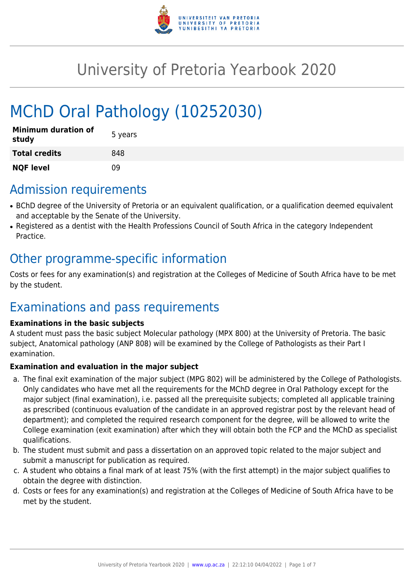

# University of Pretoria Yearbook 2020

# MChD Oral Pathology (10252030)

| <b>Minimum duration of</b><br>study | 5 years |
|-------------------------------------|---------|
| <b>Total credits</b>                | 848     |
| <b>NQF level</b>                    | ΩÓ      |

### Admission requirements

- BChD degree of the University of Pretoria or an equivalent qualification, or a qualification deemed equivalent and acceptable by the Senate of the University.
- Registered as a dentist with the Health Professions Council of South Africa in the category Independent Practice.

### Other programme-specific information

Costs or fees for any examination(s) and registration at the Colleges of Medicine of South Africa have to be met by the student.

# Examinations and pass requirements

#### **Examinations in the basic subjects**

A student must pass the basic subject Molecular pathology (MPX 800) at the University of Pretoria. The basic subject, Anatomical pathology (ANP 808) will be examined by the College of Pathologists as their Part I examination.

#### **Examination and evaluation in the major subject**

- a. The final exit examination of the major subject (MPG 802) will be administered by the College of Pathologists. Only candidates who have met all the requirements for the MChD degree in Oral Pathology except for the major subject (final examination), i.e. passed all the prerequisite subjects; completed all applicable training as prescribed (continuous evaluation of the candidate in an approved registrar post by the relevant head of department); and completed the required research component for the degree, will be allowed to write the College examination (exit examination) after which they will obtain both the FCP and the MChD as specialist qualifications.
- b. The student must submit and pass a dissertation on an approved topic related to the major subject and submit a manuscript for publication as required.
- c. A student who obtains a final mark of at least 75% (with the first attempt) in the major subject qualifies to obtain the degree with distinction.
- d. Costs or fees for any examination(s) and registration at the Colleges of Medicine of South Africa have to be met by the student.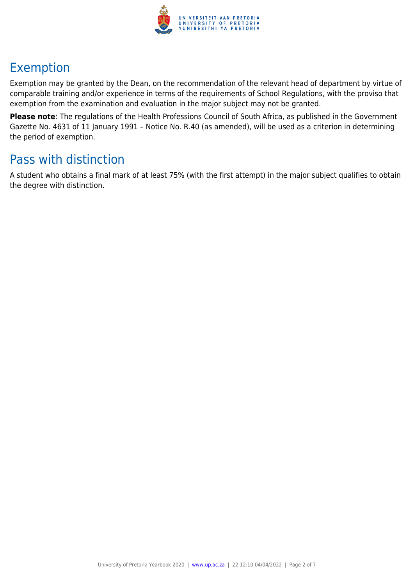

# Exemption

Exemption may be granted by the Dean, on the recommendation of the relevant head of department by virtue of comparable training and/or experience in terms of the requirements of School Regulations, with the proviso that exemption from the examination and evaluation in the major subject may not be granted.

**Please note**: The regulations of the Health Professions Council of South Africa, as published in the Government Gazette No. 4631 of 11 January 1991 – Notice No. R.40 (as amended), will be used as a criterion in determining the period of exemption.

# Pass with distinction

A student who obtains a final mark of at least 75% (with the first attempt) in the major subject qualifies to obtain the degree with distinction.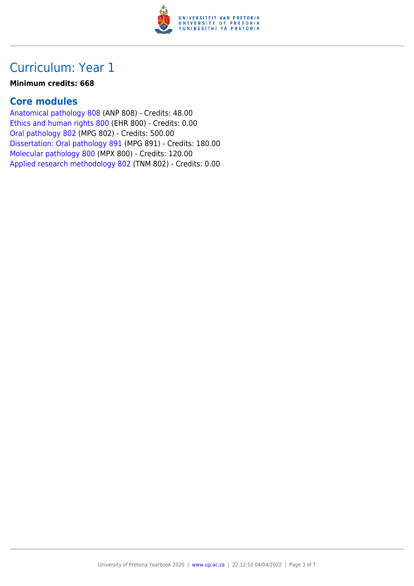

#### **Minimum credits: 668**

### **Core modules**

[Anatomical pathology 808](https://www.up.ac.za/faculty-of-education/yearbooks/2020/modules/view/ANP 808) (ANP 808) - Credits: 48.00 [Ethics and human rights 800](https://www.up.ac.za/faculty-of-education/yearbooks/2020/modules/view/EHR 800) (EHR 800) - Credits: 0.00 [Oral pathology 802](https://www.up.ac.za/faculty-of-education/yearbooks/2020/modules/view/MPG 802) (MPG 802) - Credits: 500.00 [Dissertation: Oral pathology 891](https://www.up.ac.za/faculty-of-education/yearbooks/2020/modules/view/MPG 891) (MPG 891) - Credits: 180.00 [Molecular pathology 800](https://www.up.ac.za/faculty-of-education/yearbooks/2020/modules/view/MPX 800) (MPX 800) - Credits: 120.00 [Applied research methodology 802](https://www.up.ac.za/faculty-of-education/yearbooks/2020/modules/view/TNM 802) (TNM 802) - Credits: 0.00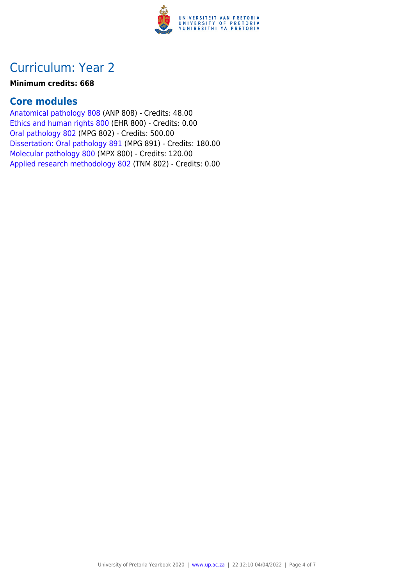

#### **Minimum credits: 668**

### **Core modules**

[Anatomical pathology 808](https://www.up.ac.za/faculty-of-education/yearbooks/2020/modules/view/ANP 808) (ANP 808) - Credits: 48.00 [Ethics and human rights 800](https://www.up.ac.za/faculty-of-education/yearbooks/2020/modules/view/EHR 800) (EHR 800) - Credits: 0.00 [Oral pathology 802](https://www.up.ac.za/faculty-of-education/yearbooks/2020/modules/view/MPG 802) (MPG 802) - Credits: 500.00 [Dissertation: Oral pathology 891](https://www.up.ac.za/faculty-of-education/yearbooks/2020/modules/view/MPG 891) (MPG 891) - Credits: 180.00 [Molecular pathology 800](https://www.up.ac.za/faculty-of-education/yearbooks/2020/modules/view/MPX 800) (MPX 800) - Credits: 120.00 [Applied research methodology 802](https://www.up.ac.za/faculty-of-education/yearbooks/2020/modules/view/TNM 802) (TNM 802) - Credits: 0.00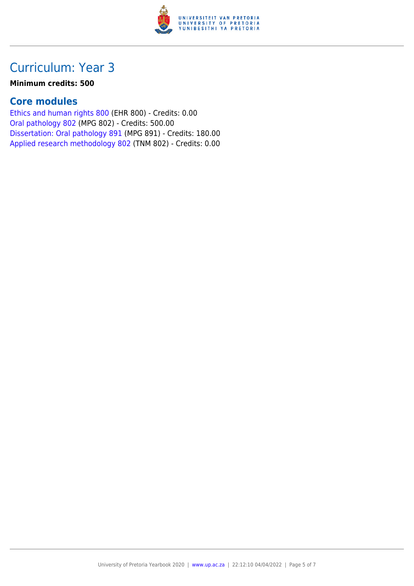

#### **Minimum credits: 500**

### **Core modules**

[Ethics and human rights 800](https://www.up.ac.za/faculty-of-education/yearbooks/2020/modules/view/EHR 800) (EHR 800) - Credits: 0.00 [Oral pathology 802](https://www.up.ac.za/faculty-of-education/yearbooks/2020/modules/view/MPG 802) (MPG 802) - Credits: 500.00 [Dissertation: Oral pathology 891](https://www.up.ac.za/faculty-of-education/yearbooks/2020/modules/view/MPG 891) (MPG 891) - Credits: 180.00 [Applied research methodology 802](https://www.up.ac.za/faculty-of-education/yearbooks/2020/modules/view/TNM 802) (TNM 802) - Credits: 0.00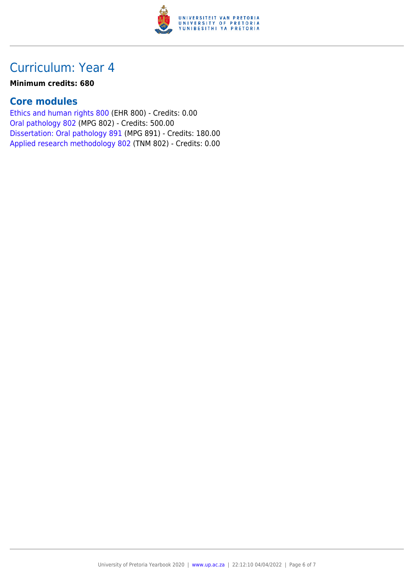

#### **Minimum credits: 680**

### **Core modules**

[Ethics and human rights 800](https://www.up.ac.za/faculty-of-education/yearbooks/2020/modules/view/EHR 800) (EHR 800) - Credits: 0.00 [Oral pathology 802](https://www.up.ac.za/faculty-of-education/yearbooks/2020/modules/view/MPG 802) (MPG 802) - Credits: 500.00 [Dissertation: Oral pathology 891](https://www.up.ac.za/faculty-of-education/yearbooks/2020/modules/view/MPG 891) (MPG 891) - Credits: 180.00 [Applied research methodology 802](https://www.up.ac.za/faculty-of-education/yearbooks/2020/modules/view/TNM 802) (TNM 802) - Credits: 0.00